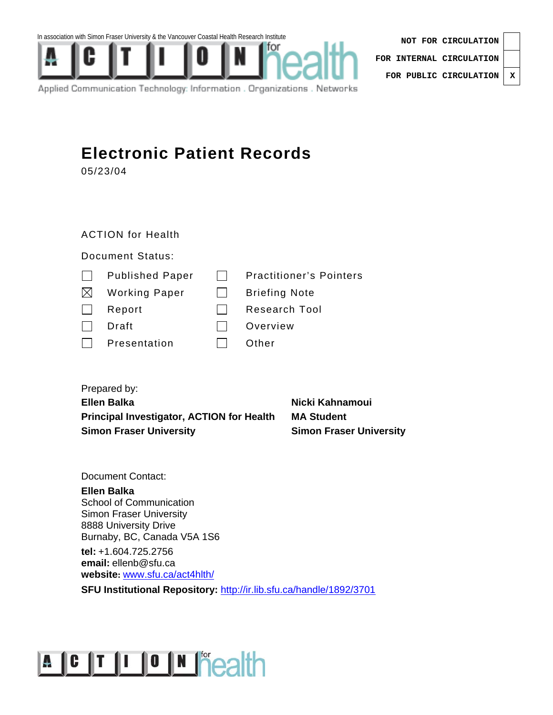In association with Simon Fraser University & the Vancouver Coastal Health Research Institute



Applied Communication Technology: Information . Organizations . Networks

**NOT FOR CIRCULATION FOR INTERNAL CIRCULATION FOR PUBLIC CIRCULATION X**

### **Electronic Patient Records**

05/23/04

### ACTION for Health

### Document Status:

| $\mathbf{I}$ | <b>Published Paper</b> | <b>Practitioner's Pointers</b> |
|--------------|------------------------|--------------------------------|
| $\bowtie$    | <b>Working Paper</b>   | <b>Briefing Note</b>           |
| $\mathbf{I}$ | Report                 | <b>Research Tool</b>           |
|              | Draft                  | Overview                       |
|              | Presentation           | Other                          |

Prepared by: **Ellen Balka** Nicki Kahnamoui **Principal Investigator, ACTION for Health MA Student Simon Fraser University**  Simon Fraser University

Document Contact:

**Ellen Balka**  School of Communication Simon Fraser University 8888 University Drive Burnaby, BC, Canada V5A 1S6

**tel:** +1.604.725.2756 **email:** ellenb@sfu.ca **website:** www.sfu.ca/act4hlth/

**SFU Institutional Repository:** http://ir.lib.sfu.ca/handle/1892/3701

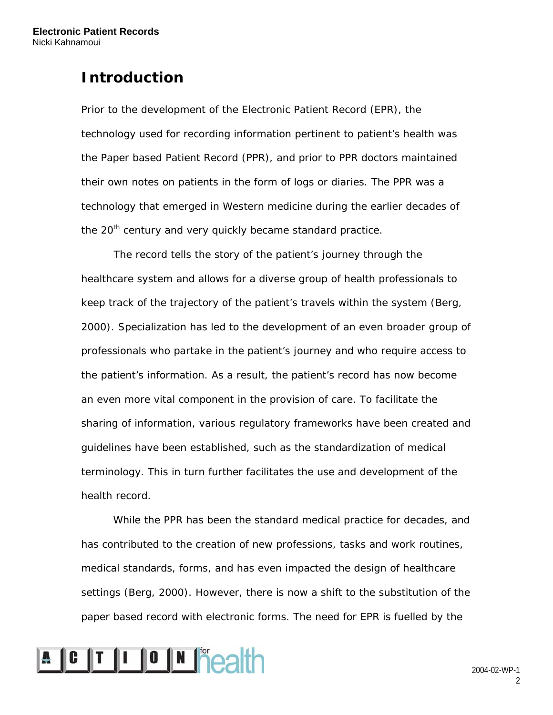### **Introduction**

Prior to the development of the Electronic Patient Record (EPR), the technology used for recording information pertinent to patient's health was the Paper based Patient Record (PPR), and prior to PPR doctors maintained their own notes on patients in the form of logs or diaries. The PPR was a technology that emerged in Western medicine during the earlier decades of the 20<sup>th</sup> century and very quickly became standard practice.

The record tells the story of the patient's journey through the healthcare system and allows for a diverse group of health professionals to keep track of the trajectory of the patient's travels within the system (Berg, 2000). Specialization has led to the development of an even broader group of professionals who partake in the patient's journey and who require access to the patient's information. As a result, the patient's record has now become an even more vital component in the provision of care. To facilitate the sharing of information, various regulatory frameworks have been created and guidelines have been established, such as the standardization of medical terminology. This in turn further facilitates the use and development of the health record.

While the PPR has been the standard medical practice for decades, and has contributed to the creation of new professions, tasks and work routines, medical standards, forms, and has even impacted the design of healthcare settings (Berg, 2000). However, there is now a shift to the substitution of the paper based record with electronic forms. The need for EPR is fuelled by the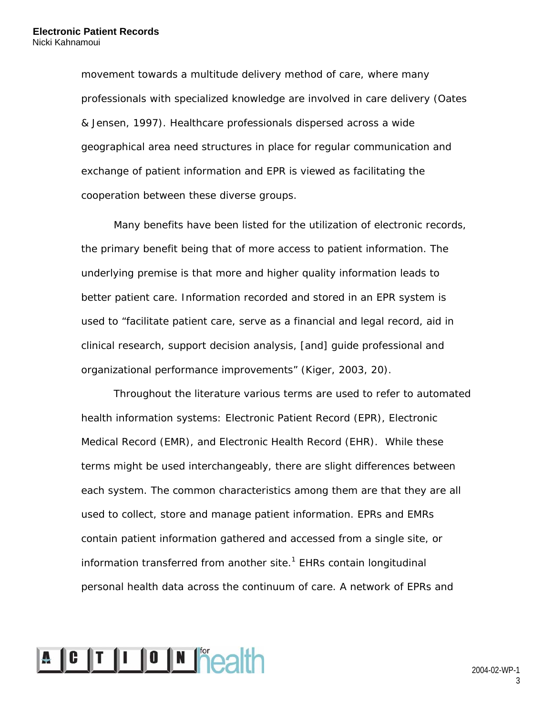movement towards a multitude delivery method of care, where many professionals with specialized knowledge are involved in care delivery (Oates & Jensen, 1997). Healthcare professionals dispersed across a wide geographical area need structures in place for regular communication and exchange of patient information and EPR is viewed as facilitating the cooperation between these diverse groups.

Many benefits have been listed for the utilization of electronic records, the primary benefit being that of more access to patient information. The underlying premise is that more and higher quality information leads to better patient care. Information recorded and stored in an EPR system is used to "facilitate patient care, serve as a financial and legal record, aid in clinical research, support decision analysis, [and] guide professional and organizational performance improvements" (Kiger, 2003, 20).

Throughout the literature various terms are used to refer to automated health information systems: Electronic Patient Record (EPR), Electronic Medical Record (EMR), and Electronic Health Record (EHR). While these terms might be used interchangeably, there are slight differences between each system. The common characteristics among them are that they are all used to collect, store and manage patient information. EPRs and EMRs contain patient information gathered and accessed from a single site, or information transferred from another site. $1$  EHRs contain longitudinal personal health data across the continuum of care. A network of EPRs and

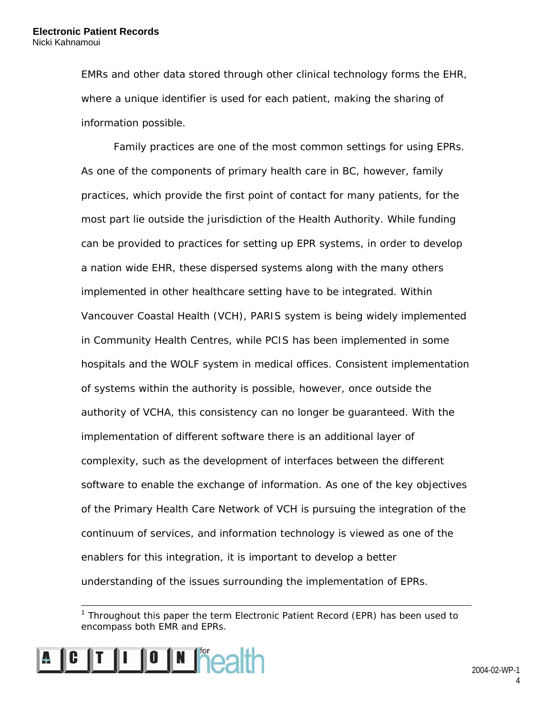EMRs and other data stored through other clinical technology forms the EHR, where a unique identifier is used for each patient, making the sharing of information possible.

Family practices are one of the most common settings for using EPRs. As one of the components of primary health care in BC, however, family practices, which provide the first point of contact for many patients, for the most part lie outside the jurisdiction of the Health Authority. While funding can be provided to practices for setting up EPR systems, in order to develop a nation wide EHR, these dispersed systems along with the many others implemented in other healthcare setting have to be integrated. Within Vancouver Coastal Health (VCH), PARIS system is being widely implemented in Community Health Centres, while PCIS has been implemented in some hospitals and the WOLF system in medical offices. Consistent implementation of systems within the authority is possible, however, once outside the authority of VCHA, this consistency can no longer be guaranteed. With the implementation of different software there is an additional layer of complexity, such as the development of interfaces between the different software to enable the exchange of information. As one of the key objectives of the Primary Health Care Network of VCH is pursuing the integration of the continuum of services, and information technology is viewed as one of the enablers for this integration, it is important to develop a better understanding of the issues surrounding the implementation of EPRs.

<sup>&</sup>lt;sup>1</sup> Throughout this paper the term Electronic Patient Record (EPR) has been used to encompass both EMR and EPRs.



 $\overline{a}$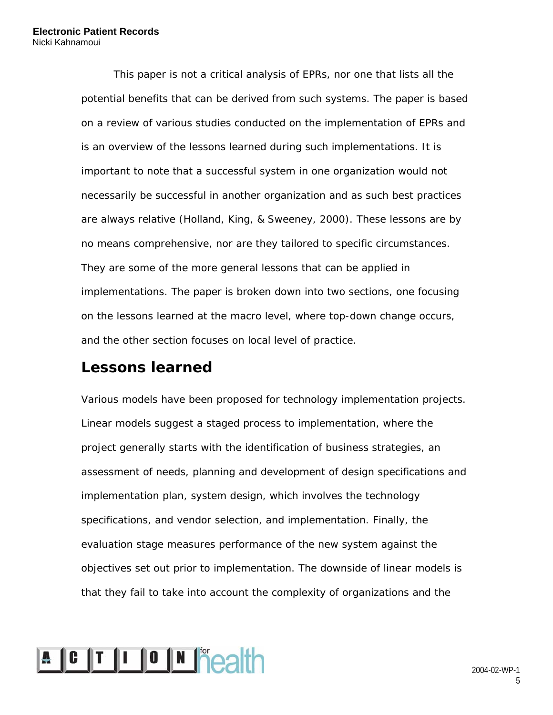This paper is not a critical analysis of EPRs, nor one that lists all the potential benefits that can be derived from such systems. The paper is based on a review of various studies conducted on the implementation of EPRs and is an overview of the lessons learned during such implementations. It is important to note that a successful system in one organization would not necessarily be successful in another organization and as such best practices are always relative (Holland, King, & Sweeney, 2000). These lessons are by no means comprehensive, nor are they tailored to specific circumstances. They are some of the more general lessons that can be applied in implementations. The paper is broken down into two sections, one focusing on the lessons learned at the macro level, where top-down change occurs, and the other section focuses on local level of practice.

### **Lessons learned**

Various models have been proposed for technology implementation projects. Linear models suggest a staged process to implementation, where the project generally starts with the identification of business strategies, an assessment of needs, planning and development of design specifications and implementation plan, system design, which involves the technology specifications, and vendor selection, and implementation. Finally, the evaluation stage measures performance of the new system against the objectives set out prior to implementation. The downside of linear models is that they fail to take into account the complexity of organizations and the

# **A C T I O N Peath**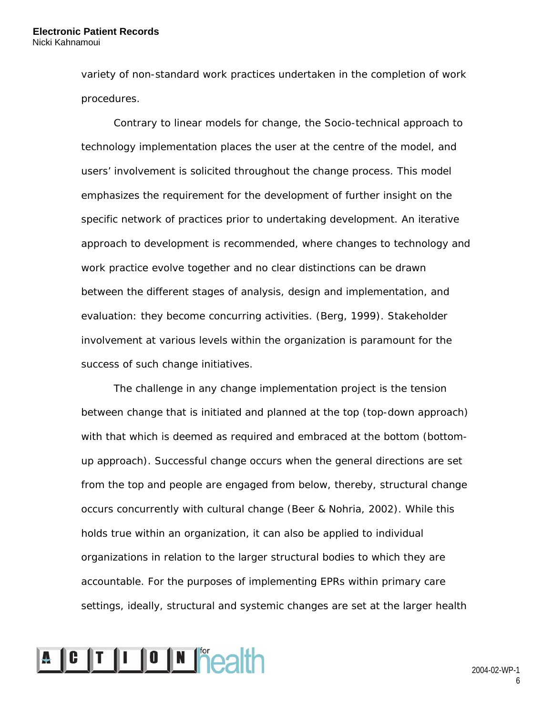variety of non-standard work practices undertaken in the completion of work procedures.

Contrary to linear models for change, the Socio-technical approach to technology implementation places the user at the centre of the model, and users' involvement is solicited throughout the change process. This model emphasizes the requirement for the development of further insight on the specific network of practices prior to undertaking development. An iterative approach to development is recommended, where changes to technology and work practice evolve together and no clear distinctions can be drawn between the different stages of analysis, design and implementation, and evaluation: they become concurring activities. (Berg, 1999). Stakeholder involvement at various levels within the organization is paramount for the success of such change initiatives.

The challenge in any change implementation project is the tension between change that is initiated and planned at the top (top-down approach) with that which is deemed as required and embraced at the bottom (bottomup approach). Successful change occurs when the general directions are set from the top and people are engaged from below, thereby, structural change occurs concurrently with cultural change (Beer & Nohria, 2002). While this holds true within an organization, it can also be applied to individual organizations in relation to the larger structural bodies to which they are accountable. For the purposes of implementing EPRs within primary care settings, ideally, structural and systemic changes are set at the larger health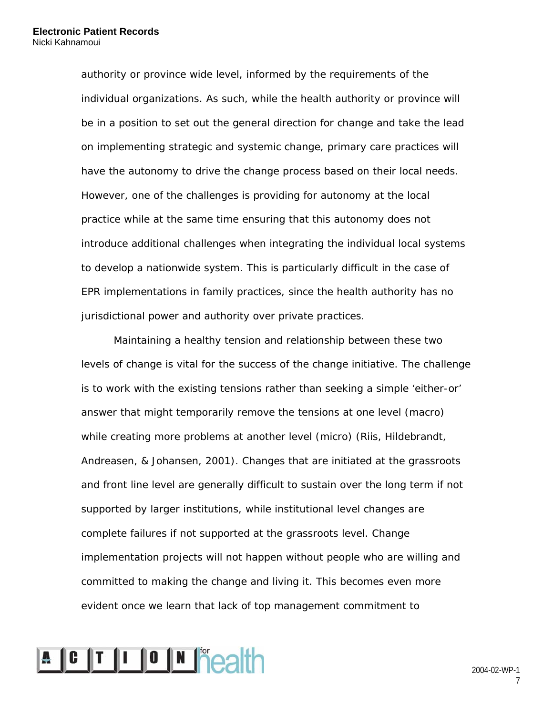authority or province wide level, informed by the requirements of the individual organizations. As such, while the health authority or province will be in a position to set out the general direction for change and take the lead on implementing strategic and systemic change, primary care practices will have the autonomy to drive the change process based on their local needs. However, one of the challenges is providing for autonomy at the local practice while at the same time ensuring that this autonomy does not introduce additional challenges when integrating the individual local systems to develop a nationwide system. This is particularly difficult in the case of EPR implementations in family practices, since the health authority has no jurisdictional power and authority over private practices.

Maintaining a healthy tension and relationship between these two levels of change is vital for the success of the change initiative. The challenge is to work with the existing tensions rather than seeking a simple 'either-or' answer that might temporarily remove the tensions at one level (macro) while creating more problems at another level (micro) (Riis, Hildebrandt, Andreasen, & Johansen, 2001). Changes that are initiated at the grassroots and front line level are generally difficult to sustain over the long term if not supported by larger institutions, while institutional level changes are complete failures if not supported at the grassroots level. Change implementation projects will not happen without people who are willing and committed to making the change and living it. This becomes even more evident once we learn that lack of top management commitment to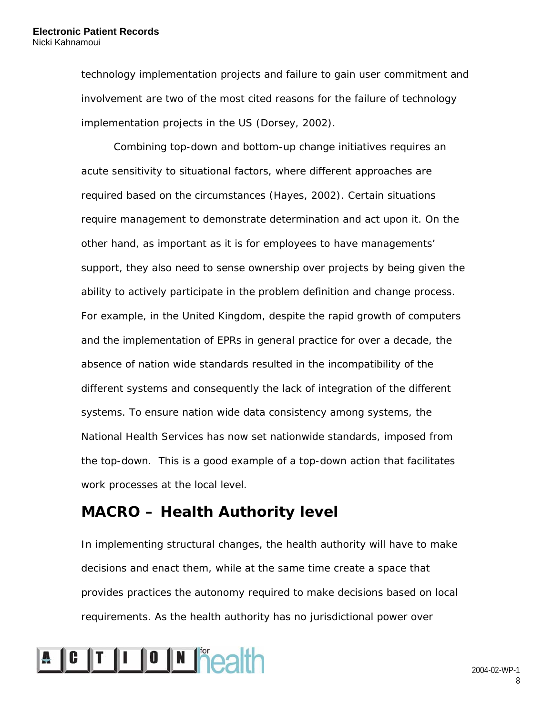technology implementation projects and failure to gain user commitment and involvement are two of the most cited reasons for the failure of technology implementation projects in the US (Dorsey, 2002).

Combining top-down and bottom-up change initiatives requires an acute sensitivity to situational factors, where different approaches are required based on the circumstances (Hayes, 2002). Certain situations require management to demonstrate determination and act upon it. On the other hand, as important as it is for employees to have managements' support, they also need to sense ownership over projects by being given the ability to actively participate in the problem definition and change process. For example, in the United Kingdom, despite the rapid growth of computers and the implementation of EPRs in general practice for over a decade, the absence of nation wide standards resulted in the incompatibility of the different systems and consequently the lack of integration of the different systems. To ensure nation wide data consistency among systems, the National Health Services has now set nationwide standards, imposed from the top-down. This is a good example of a top-down action that facilitates work processes at the local level.

### **MACRO – Health Authority level**

In implementing structural changes, the health authority will have to make decisions and enact them, while at the same time create a space that provides practices the autonomy required to make decisions based on local requirements. As the health authority has no jurisdictional power over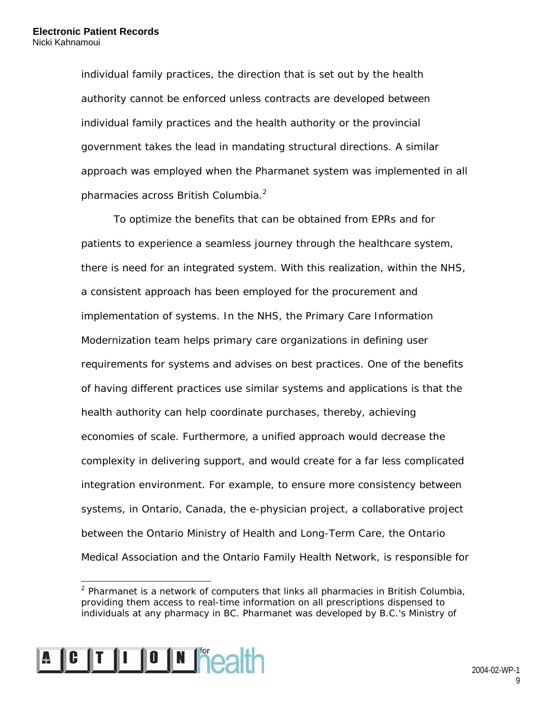individual family practices, the direction that is set out by the health authority cannot be enforced unless contracts are developed between individual family practices and the health authority or the provincial government takes the lead in mandating structural directions. A similar approach was employed when the Pharmanet system was implemented in all pharmacies across British Columbia.<sup>2</sup>

To optimize the benefits that can be obtained from EPRs and for patients to experience a seamless journey through the healthcare system, there is need for an integrated system. With this realization, within the NHS, a consistent approach has been employed for the procurement and implementation of systems. In the NHS, the Primary Care Information Modernization team helps primary care organizations in defining user requirements for systems and advises on best practices. One of the benefits of having different practices use similar systems and applications is that the health authority can help coordinate purchases, thereby, achieving economies of scale. Furthermore, a unified approach would decrease the complexity in delivering support, and would create for a far less complicated integration environment. For example, to ensure more consistency between systems, in Ontario, Canada, the e-physician project, a collaborative project between the Ontario Ministry of Health and Long-Term Care, the Ontario Medical Association and the Ontario Family Health Network, is responsible for

 $\overline{a}$  $2$  Pharmanet is a network of computers that links all pharmacies in British Columbia, providing them access to real-time information on all prescriptions dispensed to individuals at any pharmacy in BC. Pharmanet was developed by B.C.'s Ministry of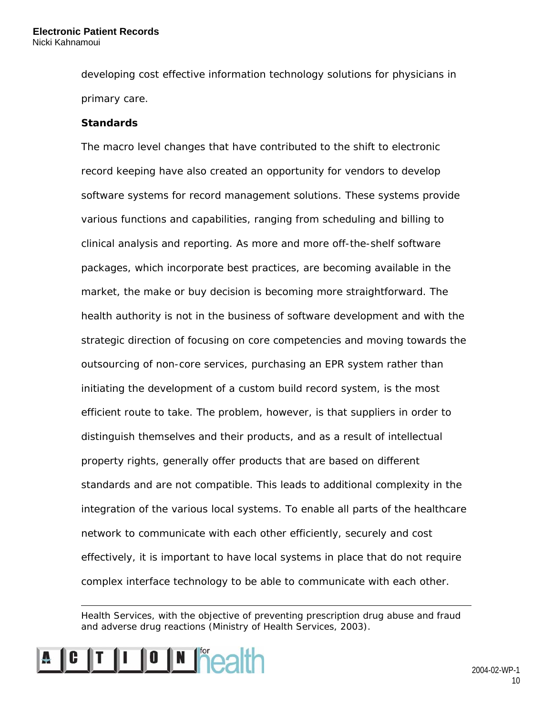developing cost effective information technology solutions for physicians in primary care.

#### **Standards**

The macro level changes that have contributed to the shift to electronic record keeping have also created an opportunity for vendors to develop software systems for record management solutions. These systems provide various functions and capabilities, ranging from scheduling and billing to clinical analysis and reporting. As more and more off-the-shelf software packages, which incorporate best practices, are becoming available in the market, the make or buy decision is becoming more straightforward. The health authority is not in the business of software development and with the strategic direction of focusing on core competencies and moving towards the outsourcing of non-core services, purchasing an EPR system rather than initiating the development of a custom build record system, is the most efficient route to take. The problem, however, is that suppliers in order to distinguish themselves and their products, and as a result of intellectual property rights, generally offer products that are based on different standards and are not compatible. This leads to additional complexity in the integration of the various local systems. To enable all parts of the healthcare network to communicate with each other efficiently, securely and cost effectively, it is important to have local systems in place that do not require complex interface technology to be able to communicate with each other.

Health Services, with the objective of preventing prescription drug abuse and fraud and adverse drug reactions (Ministry of Health Services, 2003).



 $\overline{a}$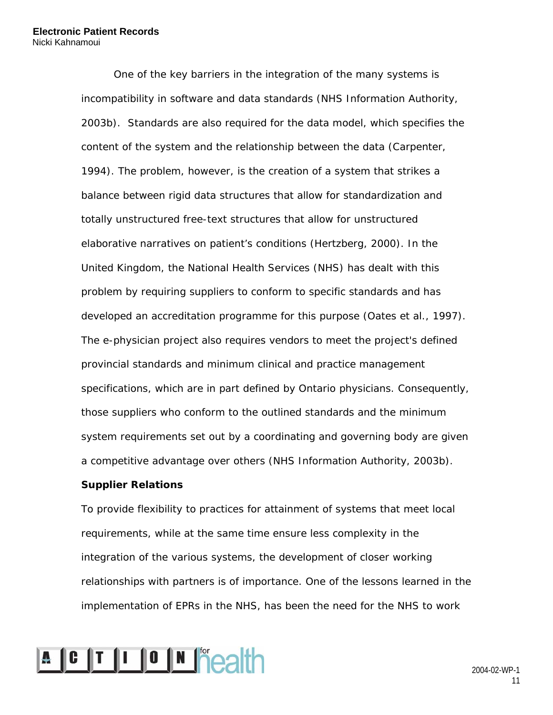One of the key barriers in the integration of the many systems is incompatibility in software and data standards (NHS Information Authority, 2003b). Standards are also required for the data model, which specifies the content of the system and the relationship between the data (Carpenter, 1994). The problem, however, is the creation of a system that strikes a balance between rigid data structures that allow for standardization and totally unstructured free-text structures that allow for unstructured elaborative narratives on patient's conditions (Hertzberg, 2000). In the United Kingdom, the National Health Services (NHS) has dealt with this problem by requiring suppliers to conform to specific standards and has developed an accreditation programme for this purpose (Oates et al., 1997). The e-physician project also requires vendors to meet the project's defined provincial standards and minimum clinical and practice management specifications, which are in part defined by Ontario physicians. Consequently, those suppliers who conform to the outlined standards and the minimum system requirements set out by a coordinating and governing body are given a competitive advantage over others (NHS Information Authority, 2003b).

#### **Supplier Relations**

To provide flexibility to practices for attainment of systems that meet local requirements, while at the same time ensure less complexity in the integration of the various systems, the development of closer working relationships with partners is of importance. One of the lessons learned in the implementation of EPRs in the NHS, has been the need for the NHS to work

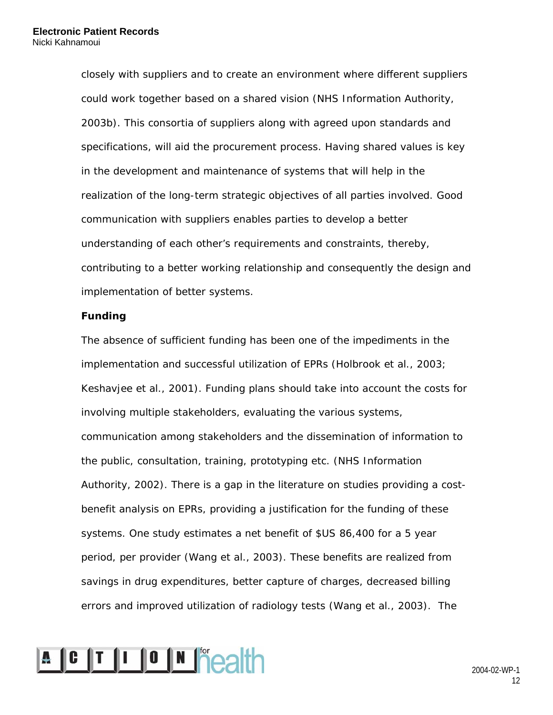closely with suppliers and to create an environment where different suppliers could work together based on a shared vision (NHS Information Authority, 2003b). This consortia of suppliers along with agreed upon standards and specifications, will aid the procurement process. Having shared values is key in the development and maintenance of systems that will help in the realization of the long-term strategic objectives of all parties involved. Good communication with suppliers enables parties to develop a better understanding of each other's requirements and constraints, thereby, contributing to a better working relationship and consequently the design and implementation of better systems.

#### **Funding**

The absence of sufficient funding has been one of the impediments in the implementation and successful utilization of EPRs (Holbrook et al., 2003; Keshavjee et al., 2001). Funding plans should take into account the costs for involving multiple stakeholders, evaluating the various systems, communication among stakeholders and the dissemination of information to the public, consultation, training, prototyping etc. (NHS Information Authority, 2002). There is a gap in the literature on studies providing a costbenefit analysis on EPRs, providing a justification for the funding of these systems. One study estimates a net benefit of \$US 86,400 for a 5 year period, per provider (Wang et al., 2003). These benefits are realized from savings in drug expenditures, better capture of charges, decreased billing errors and improved utilization of radiology tests (Wang et al., 2003). The

# **A C T I O N Peath**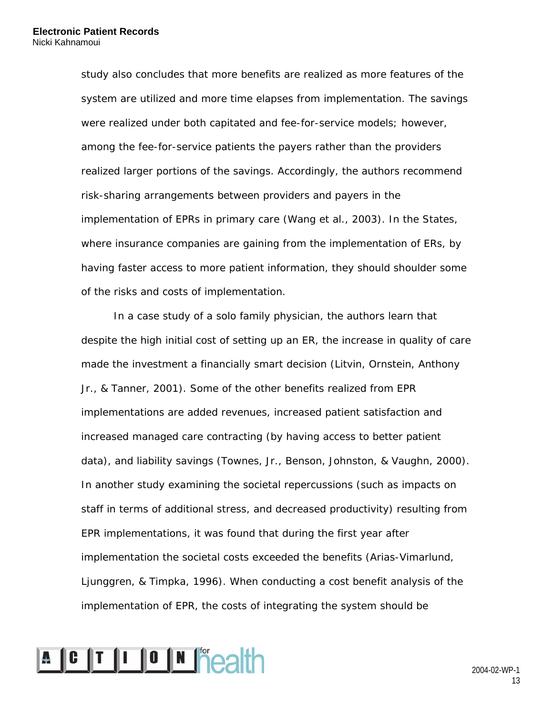study also concludes that more benefits are realized as more features of the system are utilized and more time elapses from implementation. The savings were realized under both capitated and fee-for-service models; however, among the fee-for-service patients the payers rather than the providers realized larger portions of the savings. Accordingly, the authors recommend risk-sharing arrangements between providers and payers in the implementation of EPRs in primary care (Wang et al., 2003). In the States, where insurance companies are gaining from the implementation of ERs, by having faster access to more patient information, they should shoulder some of the risks and costs of implementation.

In a case study of a solo family physician, the authors learn that despite the high initial cost of setting up an ER, the increase in quality of care made the investment a financially smart decision (Litvin, Ornstein, Anthony Jr., & Tanner, 2001). Some of the other benefits realized from EPR implementations are added revenues, increased patient satisfaction and increased managed care contracting (by having access to better patient data), and liability savings (Townes, Jr., Benson, Johnston, & Vaughn, 2000). In another study examining the societal repercussions (such as impacts on staff in terms of additional stress, and decreased productivity) resulting from EPR implementations, it was found that during the first year after implementation the societal costs exceeded the benefits (Arias-Vimarlund, Ljunggren, & Timpka, 1996). When conducting a cost benefit analysis of the implementation of EPR, the costs of integrating the system should be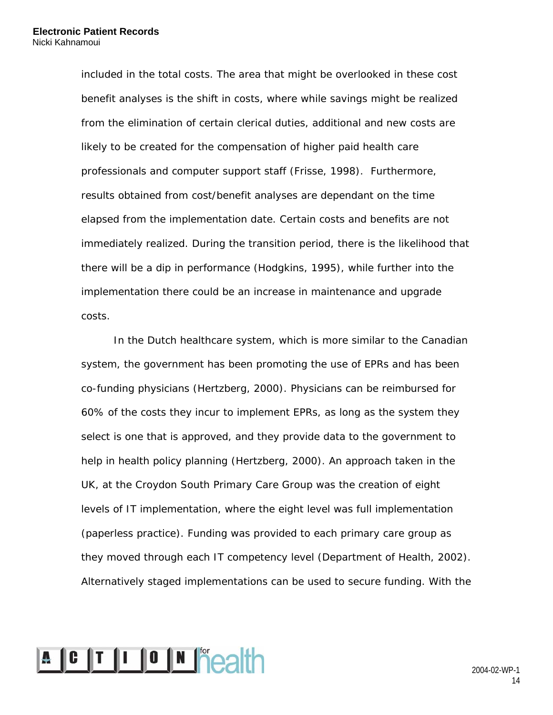included in the total costs. The area that might be overlooked in these cost benefit analyses is the shift in costs, where while savings might be realized from the elimination of certain clerical duties, additional and new costs are likely to be created for the compensation of higher paid health care professionals and computer support staff (Frisse, 1998). Furthermore, results obtained from cost/benefit analyses are dependant on the time elapsed from the implementation date. Certain costs and benefits are not immediately realized. During the transition period, there is the likelihood that there will be a dip in performance (Hodgkins, 1995), while further into the implementation there could be an increase in maintenance and upgrade costs.

In the Dutch healthcare system, which is more similar to the Canadian system, the government has been promoting the use of EPRs and has been co-funding physicians (Hertzberg, 2000). Physicians can be reimbursed for 60% of the costs they incur to implement EPRs, as long as the system they select is one that is approved, and they provide data to the government to help in health policy planning (Hertzberg, 2000). An approach taken in the UK, at the Croydon South Primary Care Group was the creation of eight levels of IT implementation, where the eight level was full implementation (paperless practice). Funding was provided to each primary care group as they moved through each IT competency level (Department of Health, 2002). Alternatively staged implementations can be used to secure funding. With the

# **A C T I O N Peath**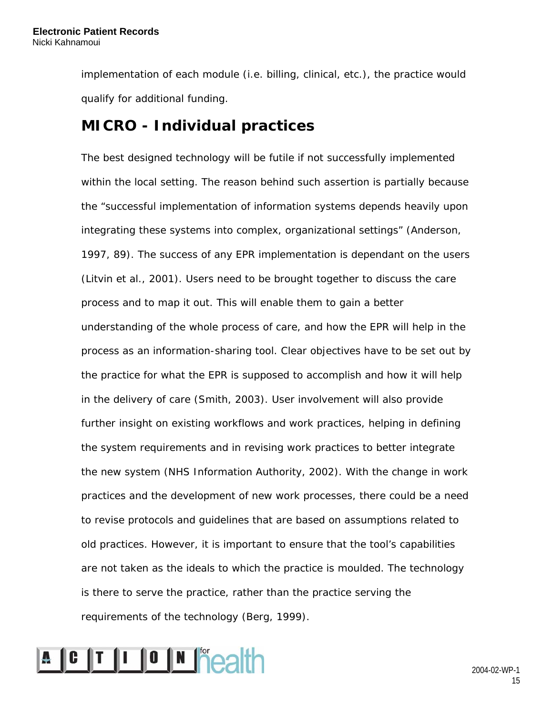implementation of each module (i.e. billing, clinical, etc.), the practice would qualify for additional funding.

### **MICRO - Individual practices**

The best designed technology will be futile if not successfully implemented within the local setting. The reason behind such assertion is partially because the "successful implementation of information systems depends heavily upon integrating these systems into complex, organizational settings" (Anderson, 1997, 89). The success of any EPR implementation is dependant on the users (Litvin et al., 2001). Users need to be brought together to discuss the care process and to map it out. This will enable them to gain a better understanding of the whole process of care, and how the EPR will help in the process as an information-sharing tool. Clear objectives have to be set out by the practice for what the EPR is supposed to accomplish and how it will help in the delivery of care (Smith, 2003). User involvement will also provide further insight on existing workflows and work practices, helping in defining the system requirements and in revising work practices to better integrate the new system (NHS Information Authority, 2002). With the change in work practices and the development of new work processes, there could be a need to revise protocols and guidelines that are based on assumptions related to old practices. However, it is important to ensure that the tool's capabilities are not taken as the ideals to which the practice is moulded. The technology is there to serve the practice, rather than the practice serving the requirements of the technology (Berg, 1999).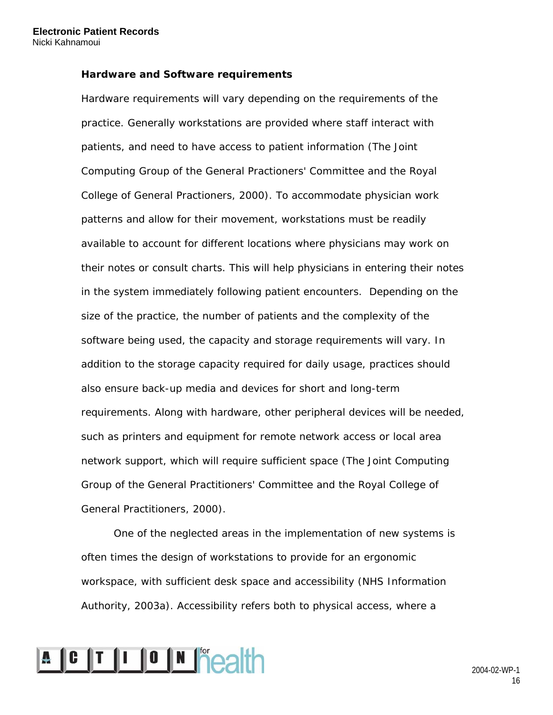#### **Hardware and Software requirements**

Hardware requirements will vary depending on the requirements of the practice. Generally workstations are provided where staff interact with patients, and need to have access to patient information (The Joint Computing Group of the General Practioners' Committee and the Royal College of General Practioners, 2000). To accommodate physician work patterns and allow for their movement, workstations must be readily available to account for different locations where physicians may work on their notes or consult charts. This will help physicians in entering their notes in the system immediately following patient encounters. Depending on the size of the practice, the number of patients and the complexity of the software being used, the capacity and storage requirements will vary. In addition to the storage capacity required for daily usage, practices should also ensure back-up media and devices for short and long-term requirements. Along with hardware, other peripheral devices will be needed, such as printers and equipment for remote network access or local area network support, which will require sufficient space (The Joint Computing Group of the General Practitioners' Committee and the Royal College of General Practitioners, 2000).

One of the neglected areas in the implementation of new systems is often times the design of workstations to provide for an ergonomic workspace, with sufficient desk space and accessibility (NHS Information Authority, 2003a). Accessibility refers both to physical access, where a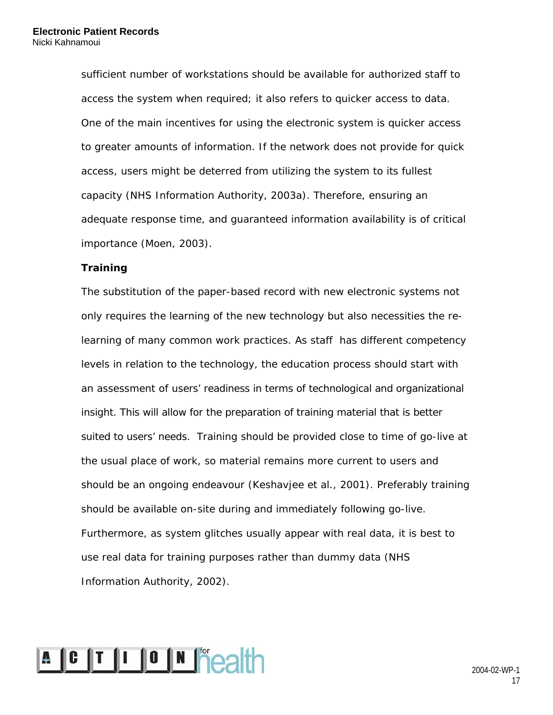sufficient number of workstations should be available for authorized staff to access the system when required; it also refers to quicker access to data. One of the main incentives for using the electronic system is quicker access to greater amounts of information. If the network does not provide for quick access, users might be deterred from utilizing the system to its fullest capacity (NHS Information Authority, 2003a). Therefore, ensuring an adequate response time, and guaranteed information availability is of critical importance (Moen, 2003).

#### **Training**

The substitution of the paper-based record with new electronic systems not only requires the learning of the new technology but also necessities the relearning of many common work practices. As staff has different competency levels in relation to the technology, the education process should start with an assessment of users' readiness in terms of technological and organizational insight. This will allow for the preparation of training material that is better suited to users' needs. Training should be provided close to time of go-live at the usual place of work, so material remains more current to users and should be an ongoing endeavour (Keshavjee et al., 2001). Preferably training should be available on-site during and immediately following go-live. Furthermore, as system glitches usually appear with real data, it is best to use real data for training purposes rather than dummy data (NHS Information Authority, 2002).

# **A C T I O N Peath**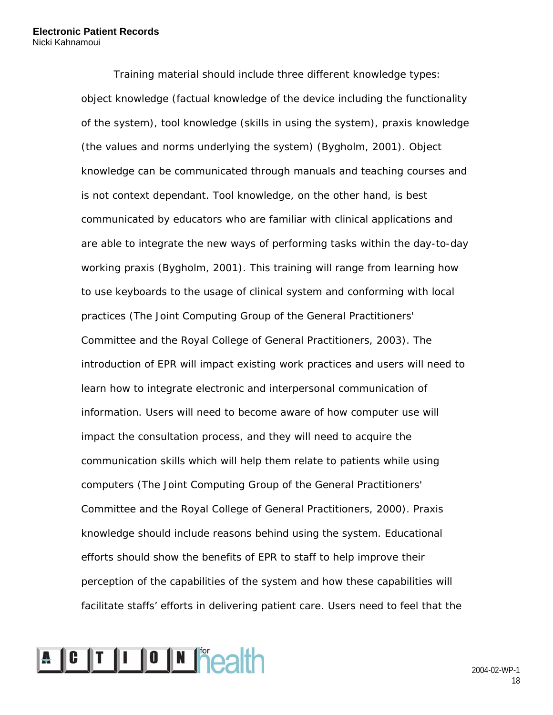Training material should include three different knowledge types: object knowledge (factual knowledge of the device including the functionality of the system), tool knowledge (skills in using the system), praxis knowledge (the values and norms underlying the system) (Bygholm, 2001). Object knowledge can be communicated through manuals and teaching courses and is not context dependant. Tool knowledge, on the other hand, is best communicated by educators who are familiar with clinical applications and are able to integrate the new ways of performing tasks within the day-to-day working praxis (Bygholm, 2001). This training will range from learning how to use keyboards to the usage of clinical system and conforming with local practices (The Joint Computing Group of the General Practitioners' Committee and the Royal College of General Practitioners, 2003). The introduction of EPR will impact existing work practices and users will need to learn how to integrate electronic and interpersonal communication of information. Users will need to become aware of how computer use will impact the consultation process, and they will need to acquire the communication skills which will help them relate to patients while using computers (The Joint Computing Group of the General Practitioners' Committee and the Royal College of General Practitioners, 2000). Praxis knowledge should include reasons behind using the system. Educational efforts should show the benefits of EPR to staff to help improve their perception of the capabilities of the system and how these capabilities will facilitate staffs' efforts in delivering patient care. Users need to feel that the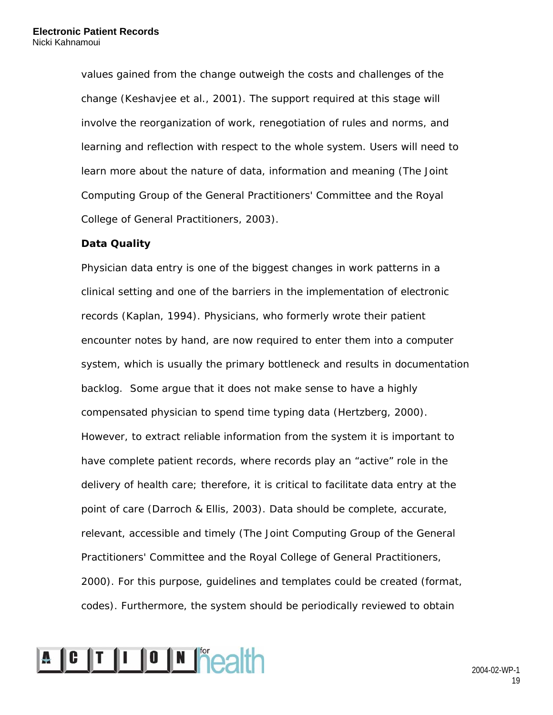values gained from the change outweigh the costs and challenges of the change (Keshavjee et al., 2001). The support required at this stage will involve the reorganization of work, renegotiation of rules and norms, and learning and reflection with respect to the whole system. Users will need to learn more about the nature of data, information and meaning (The Joint Computing Group of the General Practitioners' Committee and the Royal College of General Practitioners, 2003).

#### **Data Quality**

Physician data entry is one of the biggest changes in work patterns in a clinical setting and one of the barriers in the implementation of electronic records (Kaplan, 1994). Physicians, who formerly wrote their patient encounter notes by hand, are now required to enter them into a computer system, which is usually the primary bottleneck and results in documentation backlog. Some argue that it does not make sense to have a highly compensated physician to spend time typing data (Hertzberg, 2000). However, to extract reliable information from the system it is important to have complete patient records, where records play an "active" role in the delivery of health care; therefore, it is critical to facilitate data entry at the point of care (Darroch & Ellis, 2003). Data should be complete, accurate, relevant, accessible and timely (The Joint Computing Group of the General Practitioners' Committee and the Royal College of General Practitioners, 2000). For this purpose, guidelines and templates could be created (format, codes). Furthermore, the system should be periodically reviewed to obtain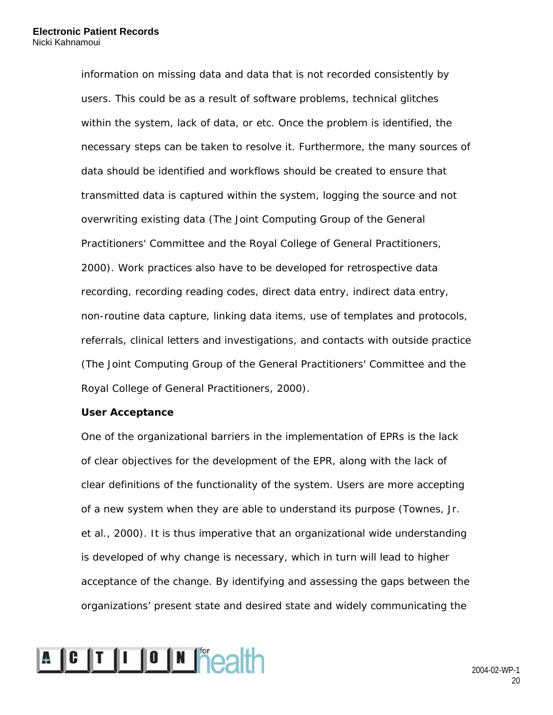information on missing data and data that is not recorded consistently by users. This could be as a result of software problems, technical glitches within the system, lack of data, or etc. Once the problem is identified, the necessary steps can be taken to resolve it. Furthermore, the many sources of data should be identified and workflows should be created to ensure that transmitted data is captured within the system, logging the source and not overwriting existing data (The Joint Computing Group of the General Practitioners' Committee and the Royal College of General Practitioners, 2000). Work practices also have to be developed for retrospective data recording, recording reading codes, direct data entry, indirect data entry, non-routine data capture, linking data items, use of templates and protocols, referrals, clinical letters and investigations, and contacts with outside practice (The Joint Computing Group of the General Practitioners' Committee and the Royal College of General Practitioners, 2000).

#### **User Acceptance**

One of the organizational barriers in the implementation of EPRs is the lack of clear objectives for the development of the EPR, along with the lack of clear definitions of the functionality of the system. Users are more accepting of a new system when they are able to understand its purpose (Townes, Jr. et al., 2000). It is thus imperative that an organizational wide understanding is developed of why change is necessary, which in turn will lead to higher acceptance of the change. By identifying and assessing the gaps between the organizations' present state and desired state and widely communicating the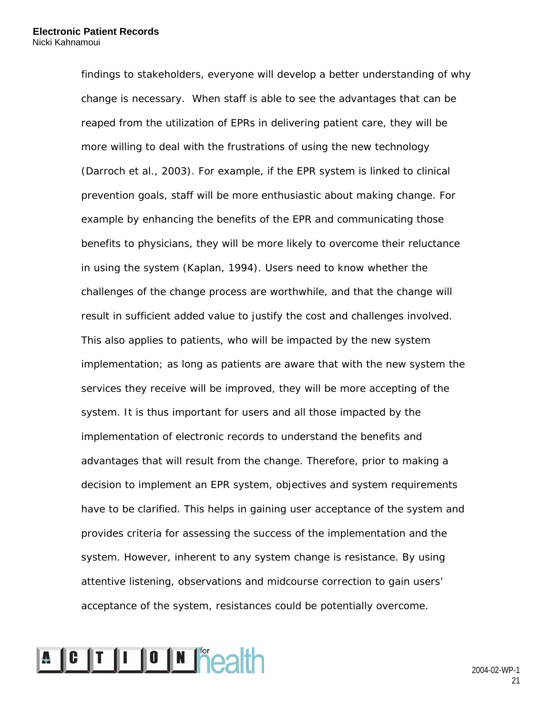findings to stakeholders, everyone will develop a better understanding of why change is necessary. When staff is able to see the advantages that can be reaped from the utilization of EPRs in delivering patient care, they will be more willing to deal with the frustrations of using the new technology (Darroch et al., 2003). For example, if the EPR system is linked to clinical prevention goals, staff will be more enthusiastic about making change. For example by enhancing the benefits of the EPR and communicating those benefits to physicians, they will be more likely to overcome their reluctance in using the system (Kaplan, 1994). Users need to know whether the challenges of the change process are worthwhile, and that the change will result in sufficient added value to justify the cost and challenges involved. This also applies to patients, who will be impacted by the new system implementation; as long as patients are aware that with the new system the services they receive will be improved, they will be more accepting of the system. It is thus important for users and all those impacted by the implementation of electronic records to understand the benefits and advantages that will result from the change. Therefore, prior to making a decision to implement an EPR system, objectives and system requirements have to be clarified. This helps in gaining user acceptance of the system and provides criteria for assessing the success of the implementation and the system. However, inherent to any system change is resistance. By using attentive listening, observations and midcourse correction to gain users' acceptance of the system, resistances could be potentially overcome.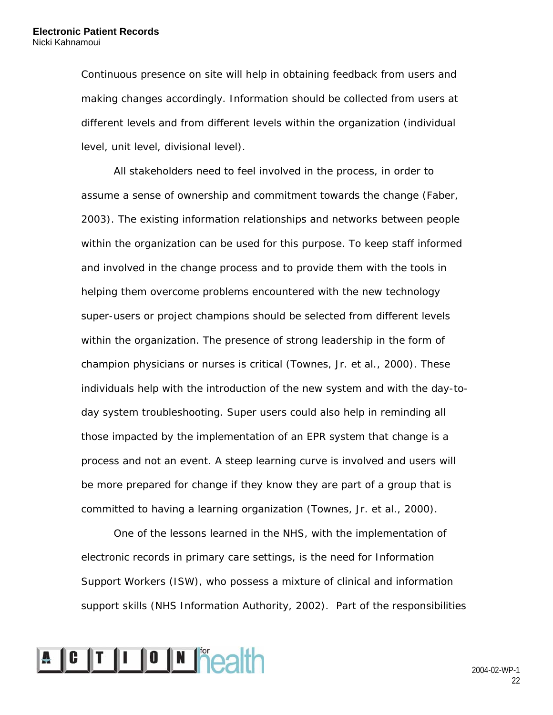Continuous presence on site will help in obtaining feedback from users and making changes accordingly. Information should be collected from users at different levels and from different levels within the organization (individual level, unit level, divisional level).

All stakeholders need to feel involved in the process, in order to assume a sense of ownership and commitment towards the change (Faber, 2003). The existing information relationships and networks between people within the organization can be used for this purpose. To keep staff informed and involved in the change process and to provide them with the tools in helping them overcome problems encountered with the new technology super-users or project champions should be selected from different levels within the organization. The presence of strong leadership in the form of champion physicians or nurses is critical (Townes, Jr. et al., 2000). These individuals help with the introduction of the new system and with the day-today system troubleshooting. Super users could also help in reminding all those impacted by the implementation of an EPR system that change is a process and not an event. A steep learning curve is involved and users will be more prepared for change if they know they are part of a group that is committed to having a learning organization (Townes, Jr. et al., 2000).

One of the lessons learned in the NHS, with the implementation of electronic records in primary care settings, is the need for Information Support Workers (ISW), who possess a mixture of clinical and information support skills (NHS Information Authority, 2002). Part of the responsibilities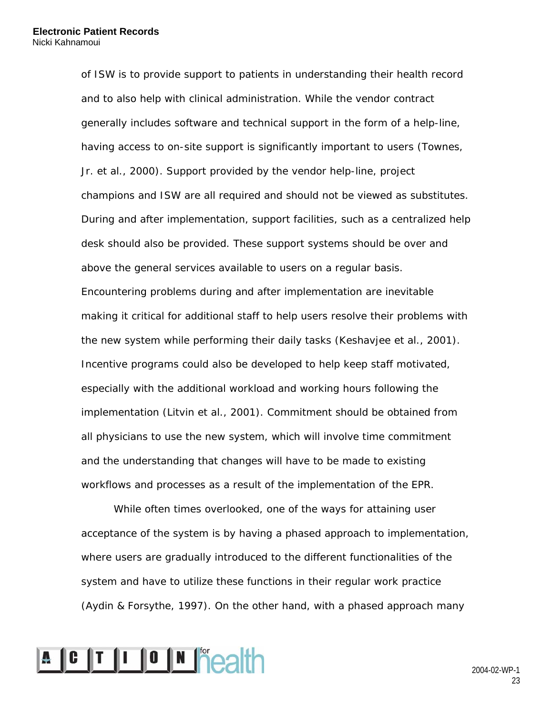of ISW is to provide support to patients in understanding their health record and to also help with clinical administration. While the vendor contract generally includes software and technical support in the form of a help-line, having access to on-site support is significantly important to users (Townes, Jr. et al., 2000). Support provided by the vendor help-line, project champions and ISW are all required and should not be viewed as substitutes. During and after implementation, support facilities, such as a centralized help desk should also be provided. These support systems should be over and above the general services available to users on a regular basis. Encountering problems during and after implementation are inevitable making it critical for additional staff to help users resolve their problems with the new system while performing their daily tasks (Keshavjee et al., 2001). Incentive programs could also be developed to help keep staff motivated, especially with the additional workload and working hours following the implementation (Litvin et al., 2001). Commitment should be obtained from all physicians to use the new system, which will involve time commitment and the understanding that changes will have to be made to existing workflows and processes as a result of the implementation of the EPR.

While often times overlooked, one of the ways for attaining user acceptance of the system is by having a phased approach to implementation, where users are gradually introduced to the different functionalities of the system and have to utilize these functions in their regular work practice (Aydin & Forsythe, 1997). On the other hand, with a phased approach many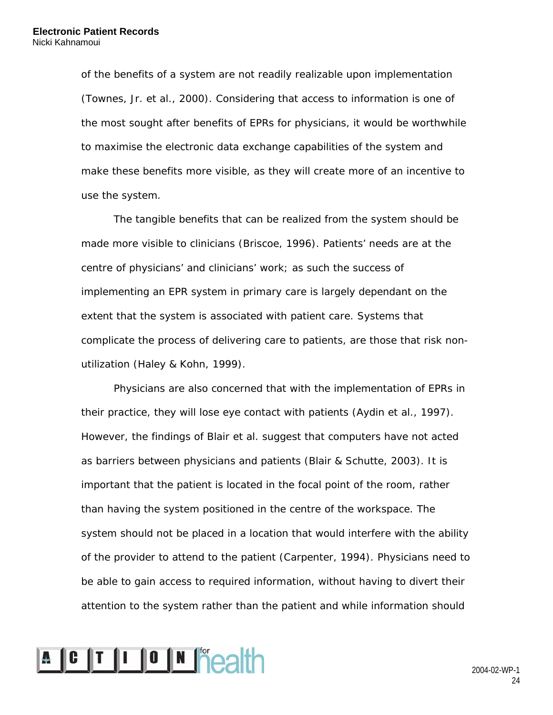of the benefits of a system are not readily realizable upon implementation (Townes, Jr. et al., 2000). Considering that access to information is one of the most sought after benefits of EPRs for physicians, it would be worthwhile to maximise the electronic data exchange capabilities of the system and make these benefits more visible, as they will create more of an incentive to use the system.

The tangible benefits that can be realized from the system should be made more visible to clinicians (Briscoe, 1996). Patients' needs are at the centre of physicians' and clinicians' work; as such the success of implementing an EPR system in primary care is largely dependant on the extent that the system is associated with patient care. Systems that complicate the process of delivering care to patients, are those that risk nonutilization (Haley & Kohn, 1999).

Physicians are also concerned that with the implementation of EPRs in their practice, they will lose eye contact with patients (Aydin et al., 1997). However, the findings of Blair et al. suggest that computers have not acted as barriers between physicians and patients (Blair & Schutte, 2003). It is important that the patient is located in the focal point of the room, rather than having the system positioned in the centre of the workspace. The system should not be placed in a location that would interfere with the ability of the provider to attend to the patient (Carpenter, 1994). Physicians need to be able to gain access to required information, without having to divert their attention to the system rather than the patient and while information should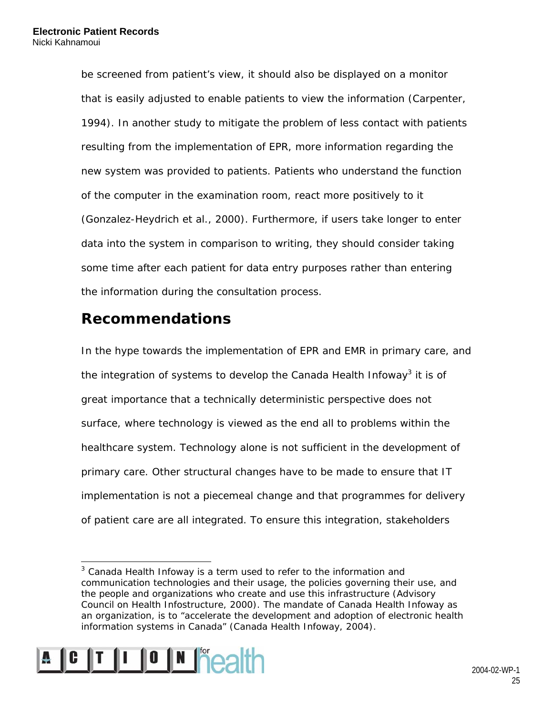be screened from patient's view, it should also be displayed on a monitor that is easily adjusted to enable patients to view the information (Carpenter, 1994). In another study to mitigate the problem of less contact with patients resulting from the implementation of EPR, more information regarding the new system was provided to patients. Patients who understand the function of the computer in the examination room, react more positively to it (Gonzalez-Heydrich et al., 2000). Furthermore, if users take longer to enter data into the system in comparison to writing, they should consider taking some time after each patient for data entry purposes rather than entering the information during the consultation process.

### **Recommendations**

In the hype towards the implementation of EPR and EMR in primary care, and the integration of systems to develop the Canada Health Infoway<sup>3</sup> it is of great importance that a technically deterministic perspective does not surface, where technology is viewed as the end all to problems within the healthcare system. Technology alone is not sufficient in the development of primary care. Other structural changes have to be made to ensure that IT implementation is not a piecemeal change and that programmes for delivery of patient care are all integrated. To ensure this integration, stakeholders

 $\overline{a}$  $3$  Canada Health Infoway is a term used to refer to the information and communication technologies and their usage, the policies governing their use, and the people and organizations who create and use this infrastructure (Advisory Council on Health Infostructure, 2000). The mandate of Canada Health Infoway as an organization, is to "accelerate the development and adoption of electronic health information systems in Canada" (Canada Health Infoway, 2004).

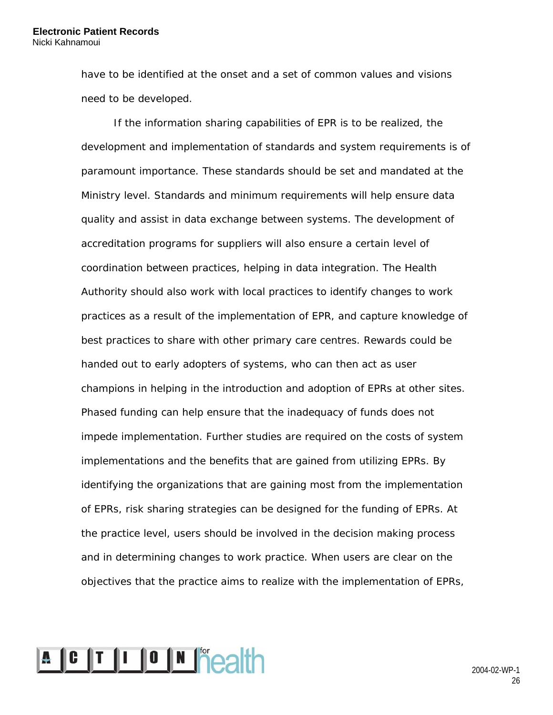have to be identified at the onset and a set of common values and visions need to be developed.

If the information sharing capabilities of EPR is to be realized, the development and implementation of standards and system requirements is of paramount importance. These standards should be set and mandated at the Ministry level. Standards and minimum requirements will help ensure data quality and assist in data exchange between systems. The development of accreditation programs for suppliers will also ensure a certain level of coordination between practices, helping in data integration. The Health Authority should also work with local practices to identify changes to work practices as a result of the implementation of EPR, and capture knowledge of best practices to share with other primary care centres. Rewards could be handed out to early adopters of systems, who can then act as user champions in helping in the introduction and adoption of EPRs at other sites. Phased funding can help ensure that the inadequacy of funds does not impede implementation. Further studies are required on the costs of system implementations and the benefits that are gained from utilizing EPRs. By identifying the organizations that are gaining most from the implementation of EPRs, risk sharing strategies can be designed for the funding of EPRs. At the practice level, users should be involved in the decision making process and in determining changes to work practice. When users are clear on the objectives that the practice aims to realize with the implementation of EPRs,

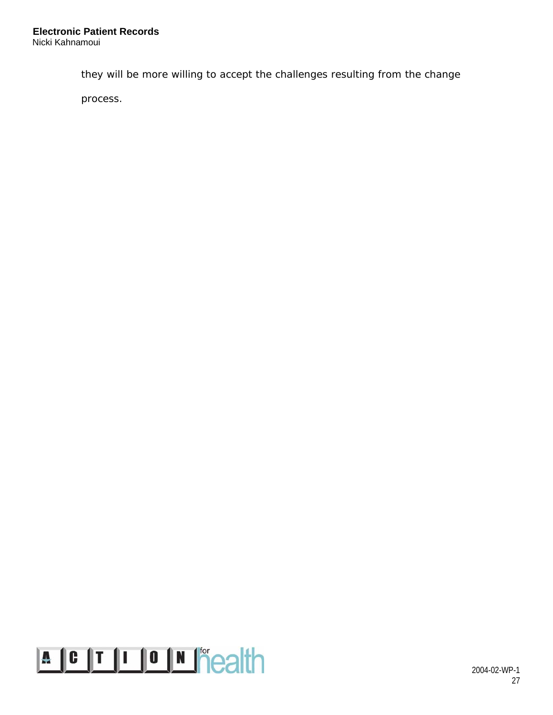they will be more willing to accept the challenges resulting from the change

process.

# **A C T I O N P AIT**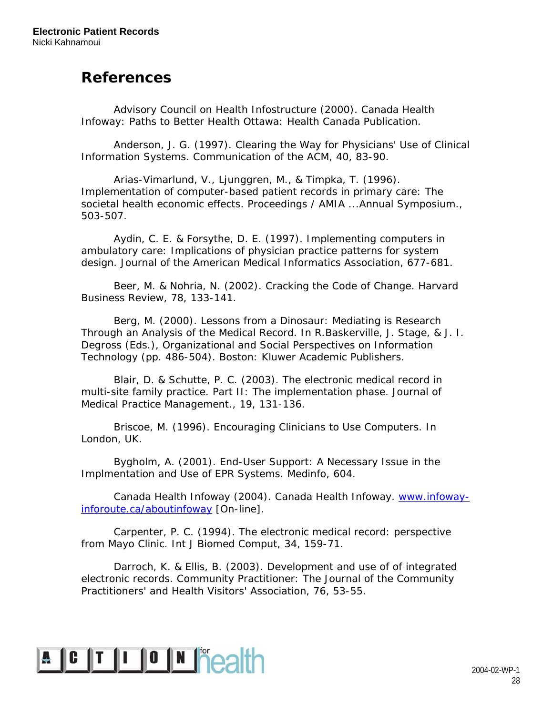### **References**

Advisory Council on Health Infostructure (2000). *Canada Health Infoway: Paths to Better Health* Ottawa: Health Canada Publication.

Anderson, J. G. (1997). Clearing the Way for Physicians' Use of Clinical Information Systems. *Communication of the ACM, 40,* 83-90.

Arias-Vimarlund, V., Ljunggren, M., & Timpka, T. (1996). Implementation of computer-based patient records in primary care: The societal health economic effects. *Proceedings / AMIA ...Annual Symposium.,* 503-507.

Aydin, C. E. & Forsythe, D. E. (1997). Implementing computers in ambulatory care: Implications of physician practice patterns for system design. *Journal of the American Medical Informatics Association,* 677-681.

Beer, M. & Nohria, N. (2002). Cracking the Code of Change. *Harvard Business Review, 78,* 133-141.

Berg, M. (2000). Lessons from a Dinosaur: Mediating is Research Through an Analysis of the Medical Record. In R.Baskerville, J. Stage, & J. I. Degross (Eds.), *Organizational and Social Perspectives on Information Technology* (pp. 486-504). Boston: Kluwer Academic Publishers.

Blair, D. & Schutte, P. C. (2003). The electronic medical record in multi-site family practice. Part II: The implementation phase. *Journal of Medical Practice Management., 19,* 131-136.

Briscoe, M. (1996). Encouraging Clinicians to Use Computers. In London, UK.

Bygholm, A. (2001). End-User Support: A Necessary Issue in the Implmentation and Use of EPR Systems. *Medinfo,* 604.

Canada Health Infoway (2004). Canada Health Infoway. www.infowayinforoute.ca/aboutinfoway [On-line].

Carpenter, P. C. (1994). The electronic medical record: perspective from Mayo Clinic. *Int J Biomed Comput, 34,* 159-71.

Darroch, K. & Ellis, B. (2003). Development and use of of integrated electronic records. *Community Practitioner: The Journal of the Community Practitioners' and Health Visitors' Association, 76,* 53-55.

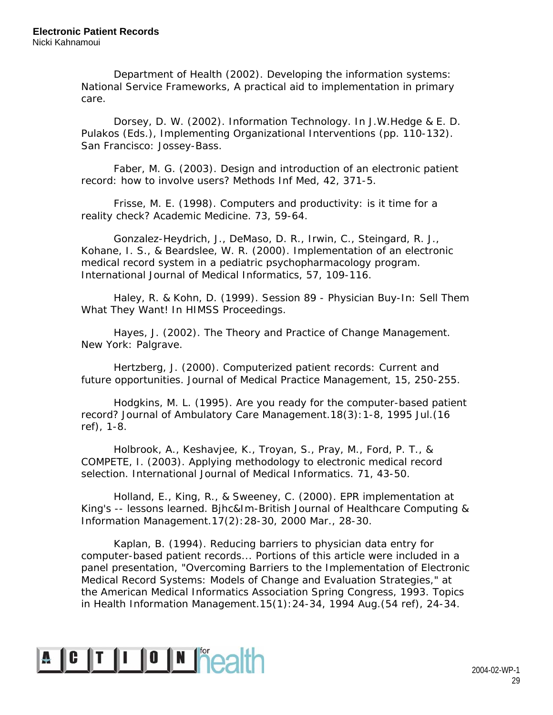Department of Health (2002). *Developing the information systems: National Service Frameworks, A practical aid to implementation in primary care*.

Dorsey, D. W. (2002). Information Technology. In J.W.Hedge & E. D. Pulakos (Eds.), *Implementing Organizational Interventions* (pp. 110-132). San Francisco: Jossey-Bass.

Faber, M. G. (2003). Design and introduction of an electronic patient record: how to involve users? *Methods Inf Med, 42,* 371-5.

Frisse, M. E. (1998). Computers and productivity: is it time for a reality check? *Academic Medicine. 73,* 59-64.

Gonzalez-Heydrich, J., DeMaso, D. R., Irwin, C., Steingard, R. J., Kohane, I. S., & Beardslee, W. R. (2000). Implementation of an electronic medical record system in a pediatric psychopharmacology program. *International Journal of Medical Informatics, 57,* 109-116.

Haley, R. & Kohn, D. (1999). Session 89 - Physician Buy-In: Sell Them What They Want! In HIMSS Proceedings.

Hayes, J. (2002). *The Theory and Practice of Change Management*. New York: Palgrave.

Hertzberg, J. (2000). Computerized patient records: Current and future opportunities. *Journal of Medical Practice Management, 15,* 250-255.

Hodgkins, M. L. (1995). Are you ready for the computer-based patient record? *Journal of Ambulatory Care Management.18(3):1-8, 1995 Jul.(16 ref),* 1-8.

Holbrook, A., Keshavjee, K., Troyan, S., Pray, M., Ford, P. T., & COMPETE, I. (2003). Applying methodology to electronic medical record selection. *International Journal of Medical Informatics. 71,* 43-50.

Holland, E., King, R., & Sweeney, C. (2000). EPR implementation at King's -- lessons learned. *Bjhc&Im-British Journal of Healthcare Computing & Information Management.17(2):28-30, 2000 Mar.,* 28-30.

Kaplan, B. (1994). Reducing barriers to physician data entry for computer-based patient records... Portions of this article were included in a panel presentation, "Overcoming Barriers to the Implementation of Electronic Medical Record Systems: Models of Change and Evaluation Strategies," at the American Medical Informatics Association Spring Congress, 1993. *Topics in Health Information Management.15(1):24-34, 1994 Aug.(54 ref),* 24-34.

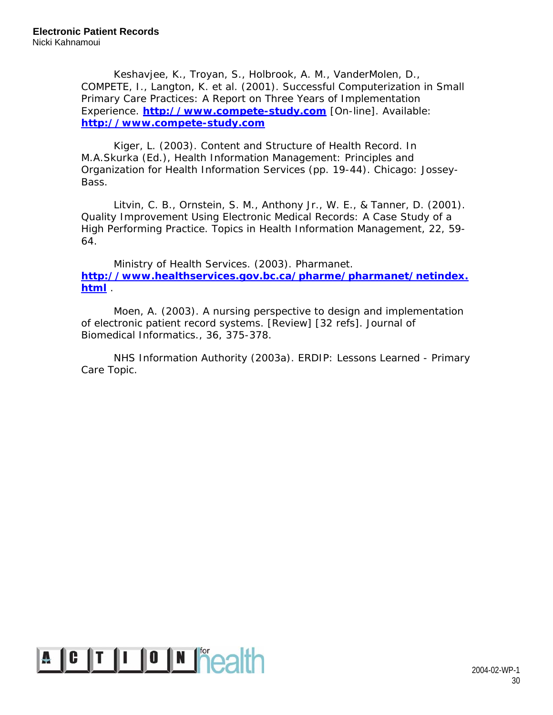Keshavjee, K., Troyan, S., Holbrook, A. M., VanderMolen, D., COMPETE, I., Langton, K. et al. (2001). Successful Computerization in Small Primary Care Practices: A Report on Three Years of Implementation Experience. **http://www.compete-study.com** [On-line]. Available: **http://www.compete-study.com**

Kiger, L. (2003). Content and Structure of Health Record. In M.A.Skurka (Ed.), *Health Information Management: Principles and Organization for Health Information Services* (pp. 19-44). Chicago: Jossey-Bass.

Litvin, C. B., Ornstein, S. M., Anthony Jr., W. E., & Tanner, D. (2001). Quality Improvement Using Electronic Medical Records: A Case Study of a High Performing Practice. *Topics in Health Information Management, 22,* 59- 64.

Ministry of Health Services. (2003). Pharmanet. **http://www.healthservices.gov.bc.ca/pharme/pharmanet/netindex. html** .

Moen, A. (2003). A nursing perspective to design and implementation of electronic patient record systems. [Review] [32 refs]. *Journal of Biomedical Informatics., 36,* 375-378.

NHS Information Authority (2003a). *ERDIP: Lessons Learned - Primary Care Topic*.

# $\overline{A}$   $\overline{C}$   $\overline{I}$   $\overline{I}$   $\overline{O}$   $\overline{N}$   $\overline{P}$   $\overline{O}$   $\overline{O}$   $\overline{O}$   $\overline{O}$   $\overline{O}$   $\overline{O}$   $\overline{O}$   $\overline{O}$   $\overline{O}$   $\overline{O}$   $\overline{O}$   $\overline{O}$   $\overline{O}$   $\overline{O}$   $\overline{O}$   $\overline{O}$   $\overline{O}$   $\overline{$